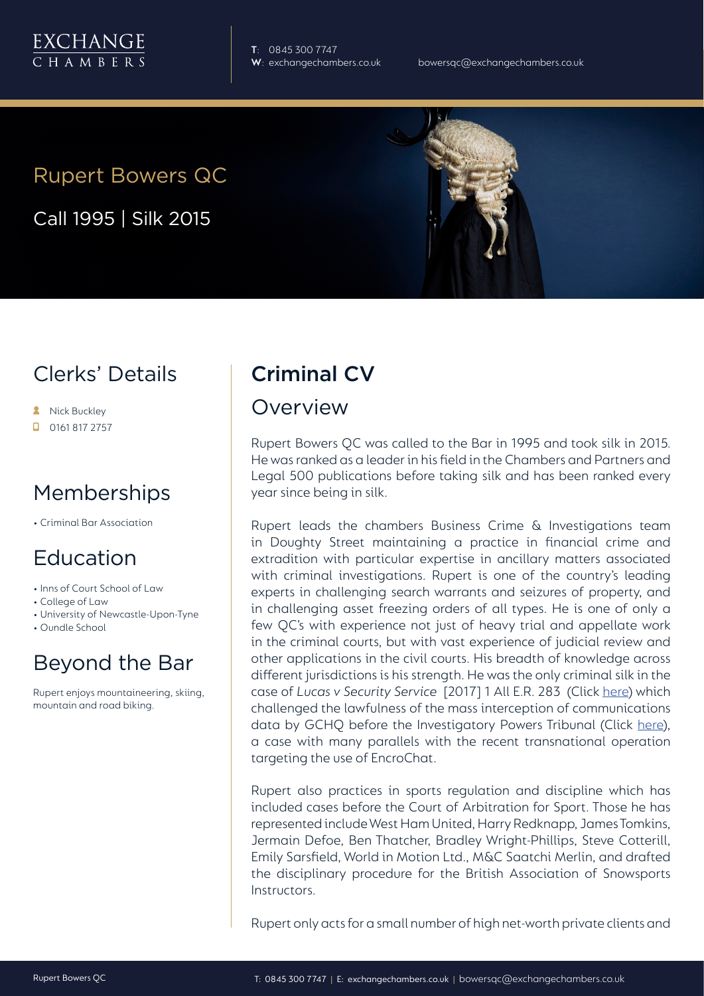

**T**: 0845 300 7747

# Rupert Bowers QC

Call 1995 | Silk 2015

### Clerks' Details

- **A** Nick Buckley
- $\Box$  0161 817 2757

# Memberships

• Criminal Bar Association

### Education

- Inns of Court School of Law
- College of Law
- University of Newcastle-Upon-Tyne
- Oundle School

### Beyond the Bar

Rupert enjoys mountaineering, skiing, mountain and road biking.

### Criminal CV

#### Overview

Rupert Bowers QC was called to the Bar in 1995 and took silk in 2015. He was ranked as a leader in his field in the Chambers and Partners and Legal 500 publications before taking silk and has been ranked every year since being in silk.

Rupert leads the chambers Business Crime & Investigations team in Doughty Street maintaining a practice in financial crime and extradition with particular expertise in ancillary matters associated with criminal investigations. Rupert is one of the country's leading experts in challenging search warrants and seizures of property, and in challenging asset freezing orders of all types. He is one of only a few QC's with experience not just of heavy trial and appellate work in the criminal courts, but with vast experience of judicial review and other applications in the civil courts. His breadth of knowledge across different jurisdictions is his strength. He was the only criminal silk in the case of *Lucas v Security Service* [2017] 1 All E.R. 283 (Click [here\)](https://www.ipt-uk.com/docs/Caroline_Lucas_JUDGMENT.pdf) which challenged the lawfulness of the mass interception of communications data by GCHQ before the Investigatory Powers Tribunal (Click [here](https://www.ipt-uk.com/)), a case with many parallels with the recent transnational operation targeting the use of EncroChat.

Rupert also practices in sports regulation and discipline which has included cases before the Court of Arbitration for Sport. Those he has represented include West Ham United, Harry Redknapp, James Tomkins, Jermain Defoe, Ben Thatcher, Bradley Wright-Phillips, Steve Cotterill, Emily Sarsfield, World in Motion Ltd., M&C Saatchi Merlin, and drafted the disciplinary procedure for the British Association of Snowsports Instructors.

Rupert only acts for a small number of high net-worth private clients and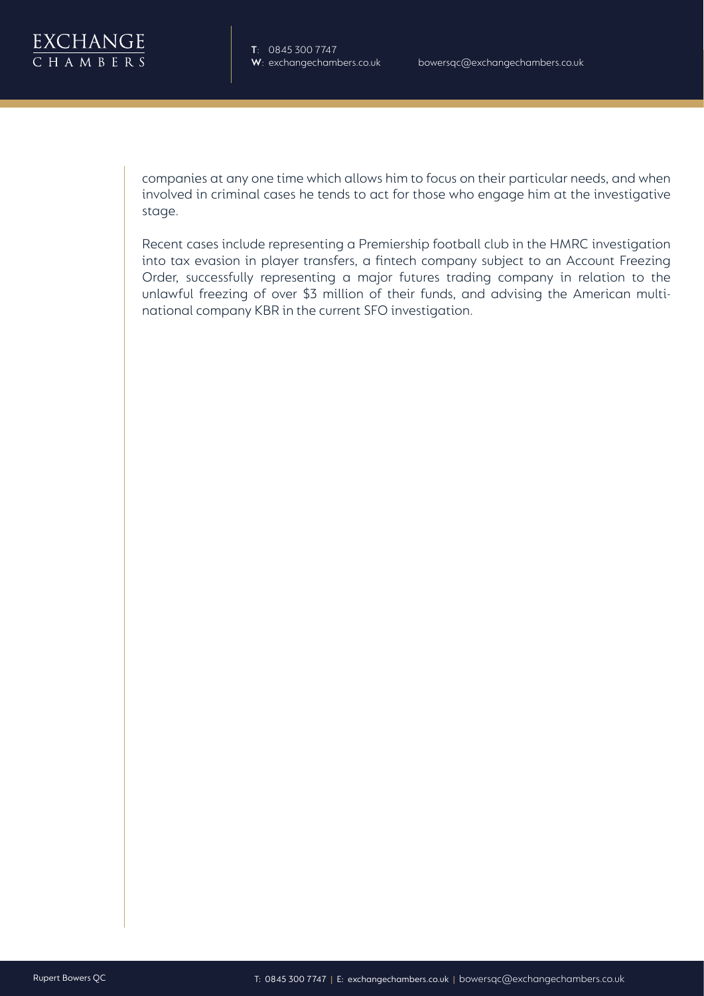

companies at any one time which allows him to focus on their particular needs, and when involved in criminal cases he tends to act for those who engage him at the investigative stage.

Recent cases include representing a Premiership football club in the HMRC investigation into tax evasion in player transfers, a fintech company subject to an Account Freezing Order, successfully representing a major futures trading company in relation to the unlawful freezing of over \$3 million of their funds, and advising the American multinational company KBR in the current SFO investigation.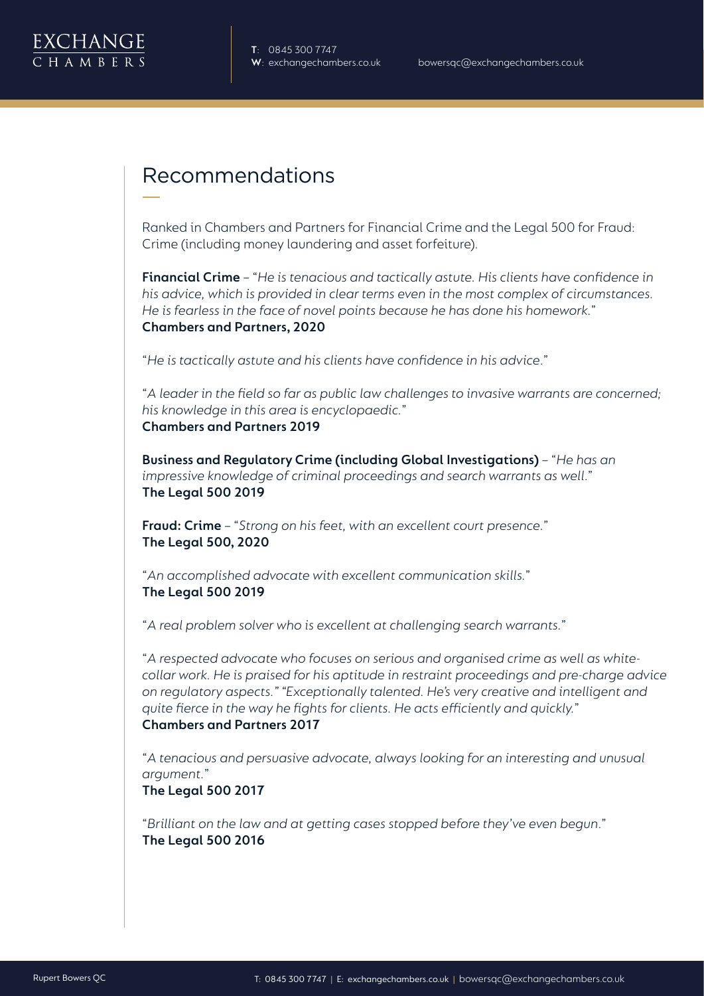

# Recommendations

Ranked in Chambers and Partners for Financial Crime and the Legal 500 for Fraud: Crime (including money laundering and asset forfeiture).

**Financial Crime** – "*He is tenacious and tactically astute. His clients have confidence in his advice, which is provided in clear terms even in the most complex of circumstances. He is fearless in the face of novel points because he has done his homework.*" **Chambers and Partners, 2020**

"*He is tactically astute and his clients have confidence in his advice*."

"*A leader in the field so far as public law challenges to invasive warrants are concerned; his knowledge in this area is encyclopaedic.*" **Chambers and Partners 2019**

**Business and Regulatory Crime (including Global Investigations)** – "*He has an impressive knowledge of criminal proceedings and search warrants as well*." **The Legal 500 2019**

**Fraud: Crime** – "*Strong on his feet, with an excellent court presence.*" **The Legal 500, 2020**

"*An accomplished advocate with excellent communication skills.*" **The Legal 500 2019**

"*A real problem solver who is excellent at challenging search warrants.*"

"*A respected advocate who focuses on serious and organised crime as well as whitecollar work. He is praised for his aptitude in restraint proceedings and pre-charge advice on regulatory aspects." "Exceptionally talented. He's very creative and intelligent and quite fierce in the way he fights for clients. He acts efficiently and quickly.*" **Chambers and Partners 2017**

"*A tenacious and persuasive advocate, always looking for an interesting and unusual argument.*"

**The Legal 500 2017**

"*Brilliant on the law and at getting cases stopped before they've even begun*." **The Legal 500 2016**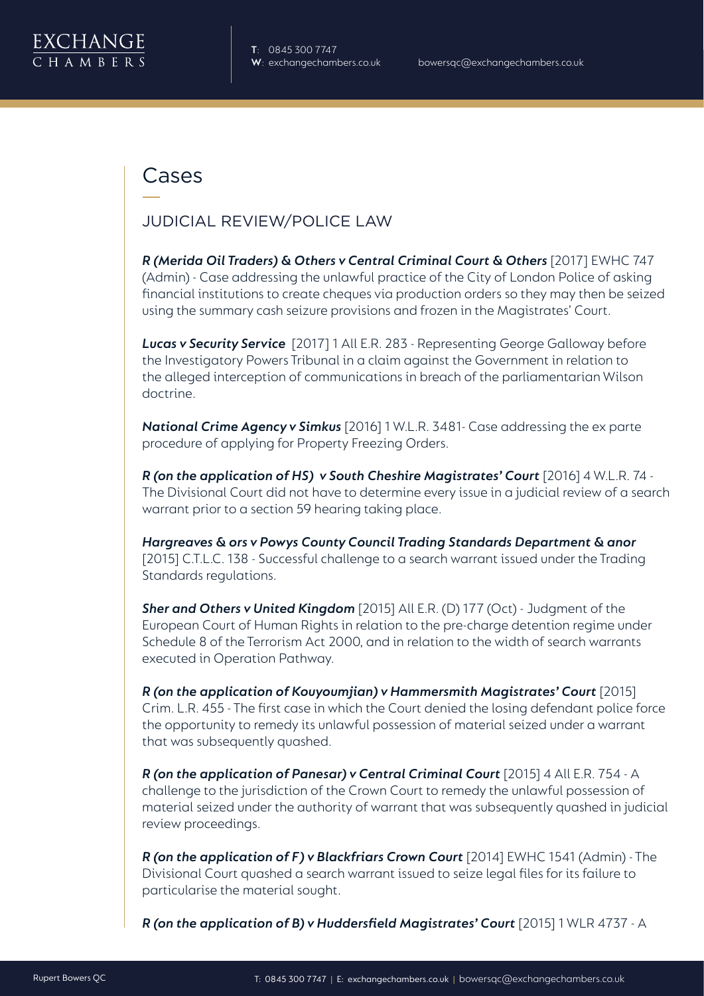

### Cases

#### JUDICIAL REVIEW/POLICE LAW

**R (Merida Oil Traders) & Others v Central Criminal Court & Others** [2017] EWHC 747 (Admin) - Case addressing the unlawful practice of the City of London Police of asking financial institutions to create cheques via production orders so they may then be seized using the summary cash seizure provisions and frozen in the Magistrates' Court.

*Lucas v Security Service* [2017] 1 All E.R. 283 - Representing George Galloway before the Investigatory Powers Tribunal in a claim against the Government in relation to the alleged interception of communications in breach of the parliamentarian Wilson doctrine.

*National Crime Agency v Simkus* [2016] 1 W.L.R. 3481- Case addressing the ex parte procedure of applying for Property Freezing Orders.

*R (on the application of HS) v South Cheshire Magistrates' Court* [2016] 4 W.L.R. 74 - The Divisional Court did not have to determine every issue in a judicial review of a search warrant prior to a section 59 hearing taking place.

*Hargreaves & ors v Powys County Council Trading Standards Department & anor* [2015] C.T.L.C. 138 - Successful challenge to a search warrant issued under the Trading Standards regulations.

*Sher and Others v United Kingdom* [2015] All E.R. (D) 177 (Oct) - Judgment of the European Court of Human Rights in relation to the pre-charge detention regime under Schedule 8 of the Terrorism Act 2000, and in relation to the width of search warrants executed in Operation Pathway.

*R* (on the application of Kouyoumjian) v Hammersmith Magistrates' Court [2015] Crim. L.R. 455 - The first case in which the Court denied the losing defendant police force the opportunity to remedy its unlawful possession of material seized under a warrant that was subsequently quashed.

*R (on the application of Panesar) v Central Criminal Court* [2015] 4 All E.R. 754 - A challenge to the jurisdiction of the Crown Court to remedy the unlawful possession of material seized under the authority of warrant that was subsequently quashed in judicial review proceedings.

*R (on the application of F) v Blackfriars Crown Court* [2014] EWHC 1541 (Admin) - The Divisional Court quashed a search warrant issued to seize legal files for its failure to particularise the material sought.

*R (on the application of B) v Huddersfield Magistrates' Court* [2015] 1 WLR 4737 - A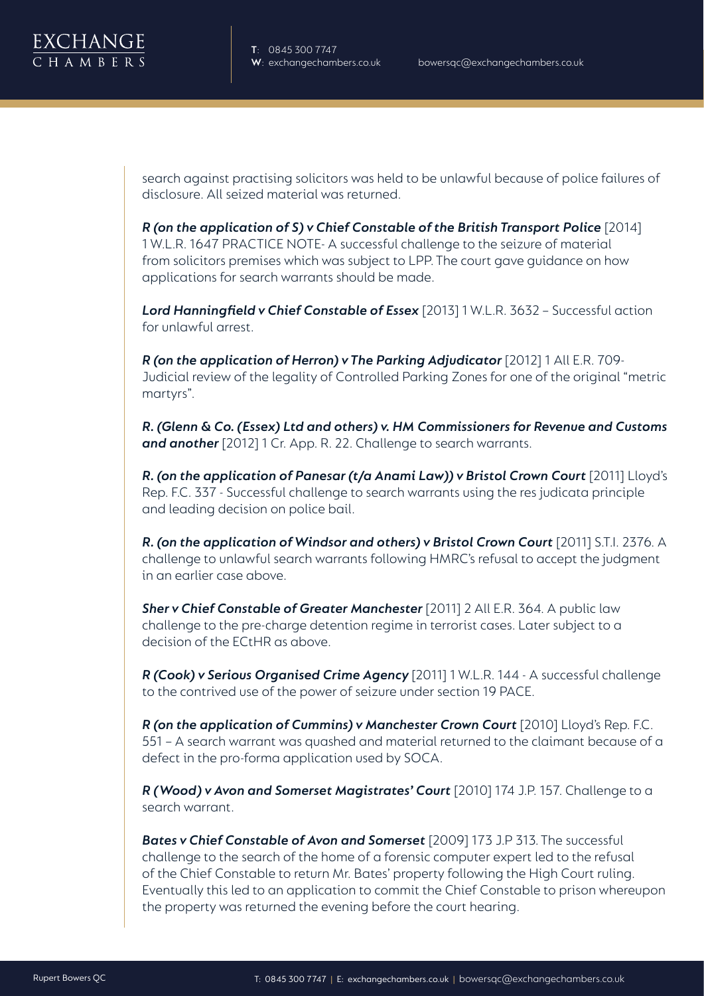

search against practising solicitors was held to be unlawful because of police failures of disclosure. All seized material was returned.

*R (on the application of S) v Chief Constable of the British Transport Police* [2014] 1 W.L.R. 1647 PRACTICE NOTE- A successful challenge to the seizure of material from solicitors premises which was subject to LPP. The court gave guidance on how applications for search warrants should be made.

*Lord Hanningfield v Chief Constable of Essex* [2013] 1 W.L.R. 3632 – Successful action for unlawful arrest.

*R (on the application of Herron) v The Parking Adjudicator* [2012] 1 All E.R. 709- Judicial review of the legality of Controlled Parking Zones for one of the original "metric martyrs".

*R. (Glenn & Co. (Essex) Ltd and others) v. HM Commissioners for Revenue and Customs and another* [2012] 1 Cr. App. R. 22. Challenge to search warrants.

*R. (on the application of Panesar (t/a Anami Law)) v Bristol Crown Court* [2011] Lloyd's Rep. F.C. 337 - Successful challenge to search warrants using the res judicata principle and leading decision on police bail.

*R. (on the application of Windsor and others) v Bristol Crown Court* [2011] S.T.I. 2376. A challenge to unlawful search warrants following HMRC's refusal to accept the judgment in an earlier case above.

*Sher v Chief Constable of Greater Manchester* [2011] 2 All E.R. 364. A public law challenge to the pre-charge detention regime in terrorist cases. Later subject to a decision of the ECtHR as above.

*R (Cook) v Serious Organised Crime Agency* [2011] 1 W.L.R. 144 - A successful challenge to the contrived use of the power of seizure under section 19 PACE.

*R (on the application of Cummins) v Manchester Crown Court* [2010] Lloyd's Rep. F.C. 551 – A search warrant was quashed and material returned to the claimant because of a defect in the pro-forma application used by SOCA.

*R (Wood) v Avon and Somerset Magistrates' Court* [2010] 174 J.P. 157. Challenge to a search warrant.

*Bates v Chief Constable of Avon and Somerset* [2009] 173 J.P 313. The successful challenge to the search of the home of a forensic computer expert led to the refusal of the Chief Constable to return Mr. Bates' property following the High Court ruling. Eventually this led to an application to commit the Chief Constable to prison whereupon the property was returned the evening before the court hearing.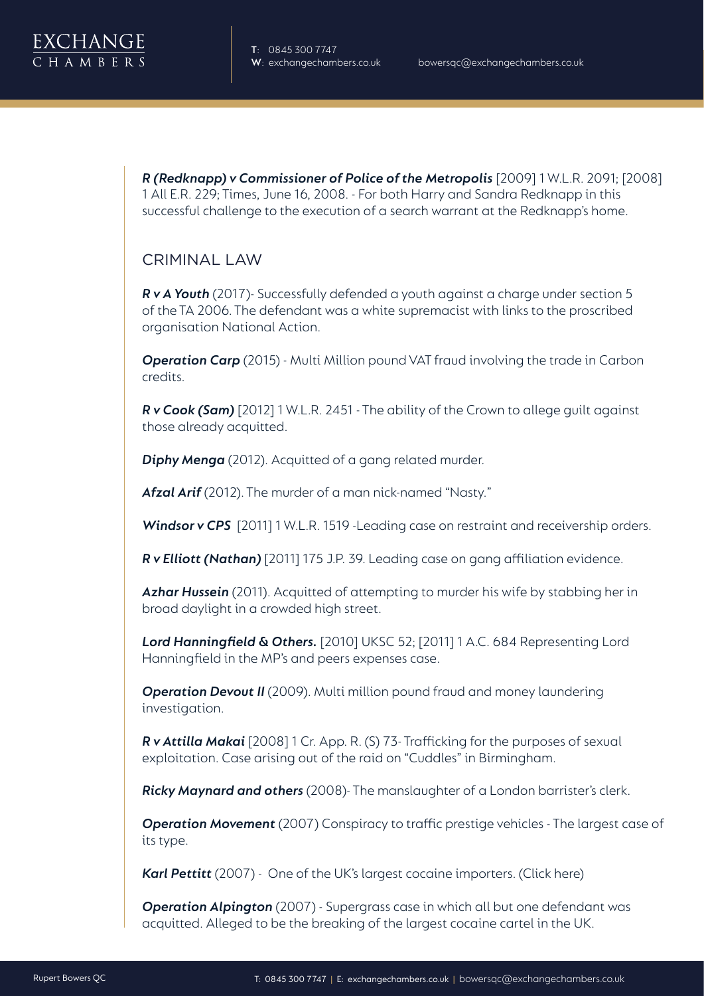

*R (Redknapp) v Commissioner of Police of the Metropolis* [2009] 1 W.L.R. 2091; [2008] 1 All E.R. 229; Times, June 16, 2008. - For both Harry and Sandra Redknapp in this successful challenge to the execution of a search warrant at the Redknapp's home.

#### CRIMINAL LAW

*R v A Youth* (2017)- Successfully defended a youth against a charge under section 5 of the TA 2006. The defendant was a white supremacist with links to the proscribed organisation National Action.

**Operation Carp** (2015) - Multi Million pound VAT fraud involving the trade in Carbon credits.

*R v Cook (Sam)* [2012] 1 W.L.R. 2451 - The ability of the Crown to allege guilt against those already acquitted.

*Diphy Menga* (2012). Acquitted of a gang related murder.

*Afzal Arif* (2012). The murder of a man nick-named "Nasty."

*Windsor v CPS* [2011] 1 W.L.R. 1519 -Leading case on restraint and receivership orders.

*R v Elliott (Nathan)* [2011] 175 J.P. 39. Leading case on gang affiliation evidence.

*Azhar Hussein* (2011). Acquitted of attempting to murder his wife by stabbing her in broad daylight in a crowded high street.

*Lord Hanningfield & Others.* [2010] UKSC 52; [2011] 1 A.C. 684 Representing Lord Hanningfield in the MP's and peers expenses case.

**Operation Devout II** (2009). Multi million pound fraud and money laundering investigation.

*R v Attilla Makai* [2008] 1 Cr. App. R. (S) 73- Trafficking for the purposes of sexual exploitation. Case arising out of the raid on "Cuddles" in Birmingham.

*Ricky Maynard and others* (2008)- The manslaughter of a London barrister's clerk.

*Operation Movement* (2007) Conspiracy to traffic prestige vehicles - The largest case of its type.

*Karl Pettitt* (2007) - One of the UK's largest cocaine importers. (Click here)

*Operation Alpington* (2007) - Supergrass case in which all but one defendant was acquitted. Alleged to be the breaking of the largest cocaine cartel in the UK.